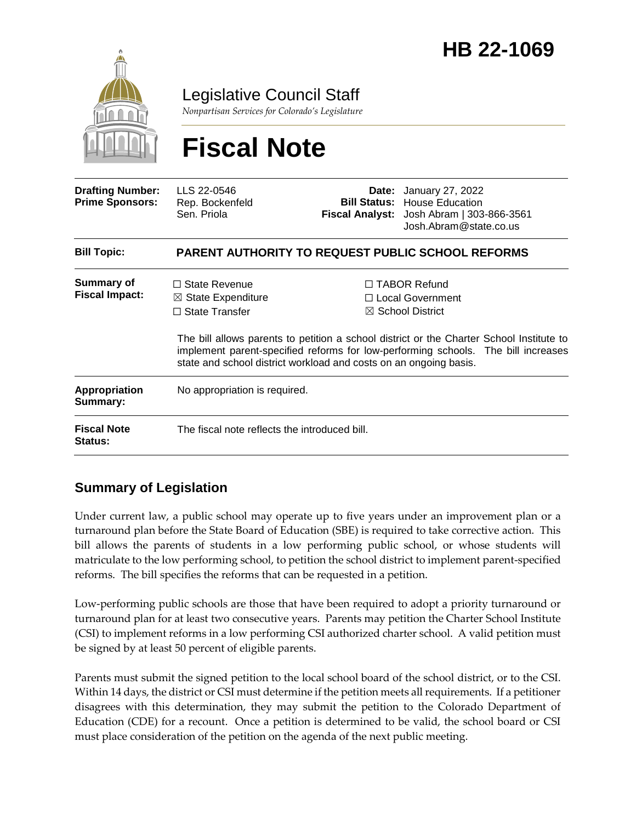

Legislative Council Staff

*Nonpartisan Services for Colorado's Legislature*

# **Fiscal Note**

| <b>Drafting Number:</b><br><b>Prime Sponsors:</b> | LLS 22-0546<br>Rep. Bockenfeld<br>Sen. Priola                                                                                                       |  | <b>Date:</b> January 27, 2022<br><b>Bill Status: House Education</b><br>Fiscal Analyst: Josh Abram   303-866-3561<br>Josh.Abram@state.co.us                                                                                                               |
|---------------------------------------------------|-----------------------------------------------------------------------------------------------------------------------------------------------------|--|-----------------------------------------------------------------------------------------------------------------------------------------------------------------------------------------------------------------------------------------------------------|
| <b>Bill Topic:</b>                                | <b>PARENT AUTHORITY TO REQUEST PUBLIC SCHOOL REFORMS</b>                                                                                            |  |                                                                                                                                                                                                                                                           |
| <b>Summary of</b><br><b>Fiscal Impact:</b>        | $\Box$ State Revenue<br>$\boxtimes$ State Expenditure<br>$\Box$ State Transfer<br>state and school district workload and costs on an ongoing basis. |  | $\Box$ TABOR Refund<br>□ Local Government<br>$\boxtimes$ School District<br>The bill allows parents to petition a school district or the Charter School Institute to<br>implement parent-specified reforms for low-performing schools. The bill increases |
| Appropriation<br>Summary:                         | No appropriation is required.                                                                                                                       |  |                                                                                                                                                                                                                                                           |
| <b>Fiscal Note</b><br><b>Status:</b>              | The fiscal note reflects the introduced bill.                                                                                                       |  |                                                                                                                                                                                                                                                           |

### **Summary of Legislation**

Under current law, a public school may operate up to five years under an improvement plan or a turnaround plan before the State Board of Education (SBE) is required to take corrective action. This bill allows the parents of students in a low performing public school, or whose students will matriculate to the low performing school, to petition the school district to implement parent-specified reforms. The bill specifies the reforms that can be requested in a petition.

Low-performing public schools are those that have been required to adopt a priority turnaround or turnaround plan for at least two consecutive years. Parents may petition the Charter School Institute (CSI) to implement reforms in a low performing CSI authorized charter school. A valid petition must be signed by at least 50 percent of eligible parents.

Parents must submit the signed petition to the local school board of the school district, or to the CSI. Within 14 days, the district or CSI must determine if the petition meets all requirements. If a petitioner disagrees with this determination, they may submit the petition to the Colorado Department of Education (CDE) for a recount. Once a petition is determined to be valid, the school board or CSI must place consideration of the petition on the agenda of the next public meeting.